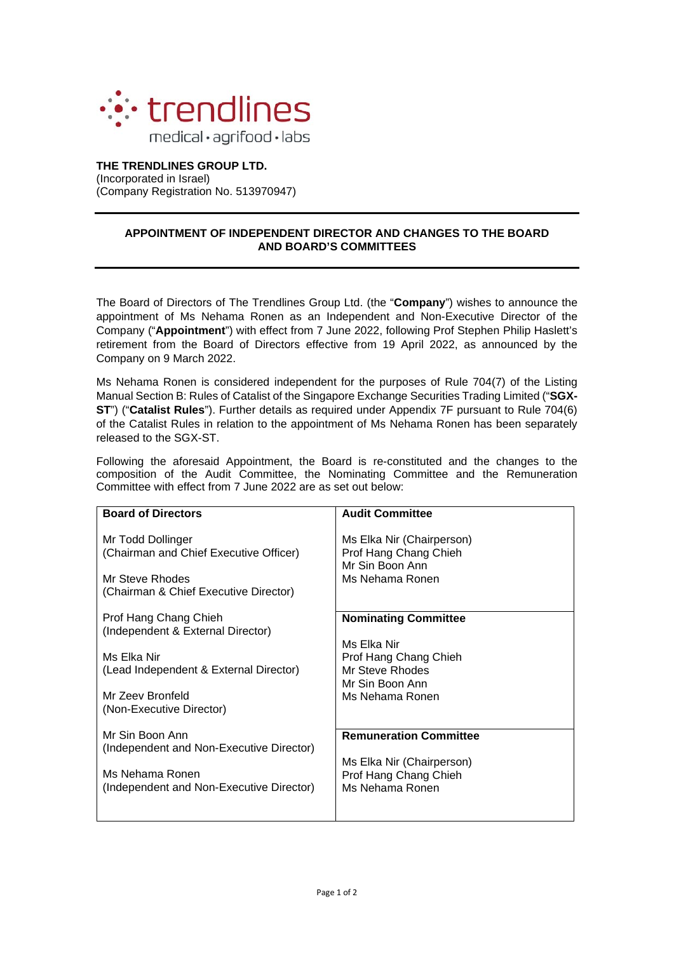

## **THE TRENDLINES GROUP LTD.** (Incorporated in Israel) (Company Registration No. 513970947)

## **APPOINTMENT OF INDEPENDENT DIRECTOR AND CHANGES TO THE BOARD AND BOARD'S COMMITTEES**

The Board of Directors of The Trendlines Group Ltd. (the "**Company**") wishes to announce the appointment of Ms Nehama Ronen as an Independent and Non-Executive Director of the Company ("**Appointment**") with effect from 7 June 2022, following Prof Stephen Philip Haslett's retirement from the Board of Directors effective from 19 April 2022, as announced by the Company on 9 March 2022.

Ms Nehama Ronen is considered independent for the purposes of Rule 704(7) of the Listing Manual Section B: Rules of Catalist of the Singapore Exchange Securities Trading Limited ("**SGX-ST**") ("**Catalist Rules**"). Further details as required under Appendix 7F pursuant to Rule 704(6) of the Catalist Rules in relation to the appointment of Ms Nehama Ronen has been separately released to the SGX-ST.

Following the aforesaid Appointment, the Board is re-constituted and the changes to the composition of the Audit Committee, the Nominating Committee and the Remuneration Committee with effect from 7 June 2022 are as set out below:

| <b>Board of Directors</b>                                                                                               | <b>Audit Committee</b>                                                                   |
|-------------------------------------------------------------------------------------------------------------------------|------------------------------------------------------------------------------------------|
| Mr Todd Dollinger<br>(Chairman and Chief Executive Officer)<br>Mr Steve Rhodes<br>(Chairman & Chief Executive Director) | Ms Elka Nir (Chairperson)<br>Prof Hang Chang Chieh<br>Mr Sin Boon Ann<br>Ms Nehama Ronen |
| Prof Hang Chang Chieh<br>(Independent & External Director)                                                              | <b>Nominating Committee</b>                                                              |
| Ms Elka Nir<br>(Lead Independent & External Director)                                                                   | Ms Elka Nir<br>Prof Hang Chang Chieh<br>Mr Steve Rhodes<br>Mr Sin Boon Ann               |
| Mr Zeev Bronfeld<br>(Non-Executive Director)                                                                            | Ms Nehama Ronen                                                                          |
| Mr Sin Boon Ann<br>(Independent and Non-Executive Director)                                                             | <b>Remuneration Committee</b>                                                            |
| Ms Nehama Ronen<br>(Independent and Non-Executive Director)                                                             | Ms Elka Nir (Chairperson)<br>Prof Hang Chang Chieh<br>Ms Nehama Ronen                    |
|                                                                                                                         |                                                                                          |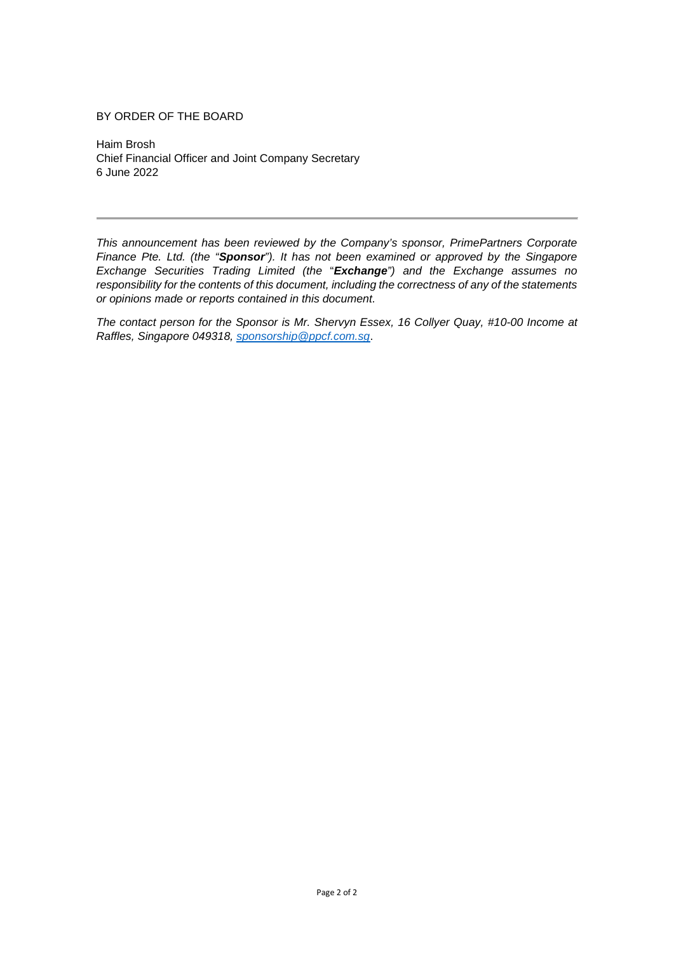## BY ORDER OF THE BOARD

Haim Brosh Chief Financial Officer and Joint Company Secretary 6 June 2022

*This announcement has been reviewed by the Company's sponsor, PrimePartners Corporate Finance Pte. Ltd. (the "Sponsor"). It has not been examined or approved by the Singapore Exchange Securities Trading Limited (the* "*Exchange") and the Exchange assumes no responsibility for the contents of this document, including the correctness of any of the statements or opinions made or reports contained in this document.*

*The contact person for the Sponsor is Mr. Shervyn Essex, 16 Collyer Quay, #10-00 Income at Raffles, Singapore 049318, [sponsorship@ppcf.com.sg](mailto:sponsorship@ppcf.com.sg)*.